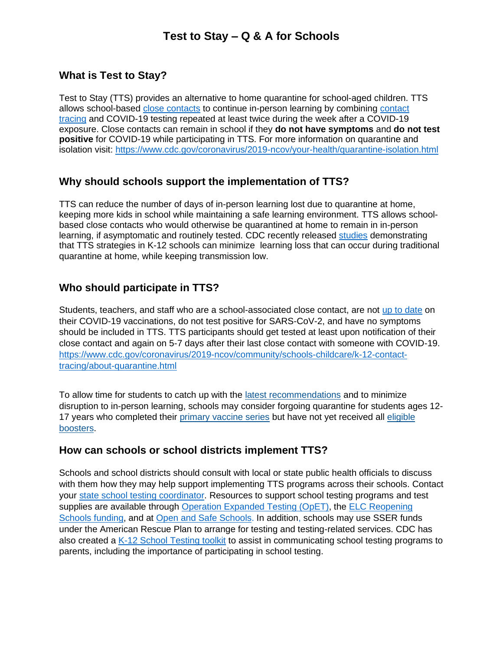### **What is Test to Stay?**

Test to Stay (TTS) provides an alternative to home quarantine for school-aged children. TTS allows school-based [close contacts](https://www.cdc.gov/coronavirus/2019-ncov/php/contact-tracing/contact-tracing-plan/appendix.html#contact) to continue in-person learning by combining [contact](https://www.cdc.gov/coronavirus/2019-ncov/community/schools-childcare/K-12-contact-tracing.html)  [tracing](https://www.cdc.gov/coronavirus/2019-ncov/community/schools-childcare/K-12-contact-tracing.html) and COVID-19 testing repeated at least twice during the week after a COVID-19 exposure. Close contacts can remain in school if they **do not have symptoms** and **do not test positive** for COVID-19 while participating in TTS. For more information on quarantine and isolation visit:<https://www.cdc.gov/coronavirus/2019-ncov/your-health/quarantine-isolation.html>

### **Why should schools support the implementation of TTS?**

TTS can reduce the number of days of in-person learning lost due to quarantine at home, keeping more kids in school while maintaining a safe learning environment. TTS allows schoolbased close contacts who would otherwise be quarantined at home to remain in in-person learning, if asymptomatic and routinely tested. CDC recently released [studies](https://www.cdc.gov/coronavirus/2019-ncov/science/science-briefs/transmission_k_12_schools.html) demonstrating that TTS strategies in K-12 schools can minimize learning loss that can occur during traditional quarantine at home, while keeping transmission low.

# **Who should participate in TTS?**

Students, teachers, and staff who are a school-associated close contact, are not [up to date](https://cdc.sharepoint.com/teams/CDC-STLS-SFU/Shared%20Documents/K-12/Test%20to%20Stay/Stay%20Up%20to%20Date%20with%20Your%20Vaccines%20|%20CDC) on their COVID-19 vaccinations, do not test positive for SARS-CoV-2, and have no symptoms should be included in TTS. TTS participants should get tested at least upon notification of their close contact and again on 5-7 days after their last close contact with someone with COVID-19. [https://www.cdc.gov/coronavirus/2019-ncov/community/schools-childcare/k-12-contact](https://www.cdc.gov/coronavirus/2019-ncov/community/schools-childcare/k-12-contact-tracing/about-quarantine.html)[tracing/about-quarantine.html](https://www.cdc.gov/coronavirus/2019-ncov/community/schools-childcare/k-12-contact-tracing/about-quarantine.html)

To allow time for students to catch up with the [latest recommendations](https://www.cdc.gov/coronavirus/2019-ncov/vaccines/stay-up-to-date.html) and to minimize disruption to in-person learning, schools may consider forgoing quarantine for students ages 12- 17 years who completed their [primary vaccine series](https://www.cdc.gov/vaccines/covid-19/clinical-considerations/covid-19-vaccines-us.html?CDC_AA_refVal=https%3A%2F%2Fwww.cdc.gov%2Fvaccines%2Fcovid-19%2Finfo-by-product%2Fclinical-considerations.html#children) but have not yet received all [eligible](https://www.cdc.gov/coronavirus/2019-ncov/vaccines/stay-up-to-date.html)  [boosters.](https://www.cdc.gov/coronavirus/2019-ncov/vaccines/stay-up-to-date.html)

### **How can schools or school districts implement TTS?**

Schools and school districts should consult with local or state public health officials to discuss with them how they may help support implementing TTS programs across their schools. Contact your [state school testing coordinator.](https://www.cdc.gov/ncezid/dpei/elc/covid-response/index.html) Resources to support school testing programs and test supplies are available through [Operation Expanded Testing \(OpET\),](https://www.cdc.gov/coronavirus/2019-ncov/testing/operation-expanded-testing.html) the ELC Reopening [Schools funding,](https://www.cdc.gov/ncezid/dpei/elc/covid-response/index.html) and at [Open and Safe Schools.](https://www.openandsafeschools.org/#for-schools) In addition, schools may use SSER funds under the American Rescue Plan to arrange for testing and testing-related services. CDC has also created a [K-12 School Testing toolkit](https://www.cdc.gov/coronavirus/2019-ncov/community/schools-childcare/school-testing.html?CDC_AA_refVal=https%3A%2F%2Fwww.cdc.gov%2Fcovid19-school-testing%2Findex.html) to assist in communicating school testing programs to parents, including the importance of participating in school testing.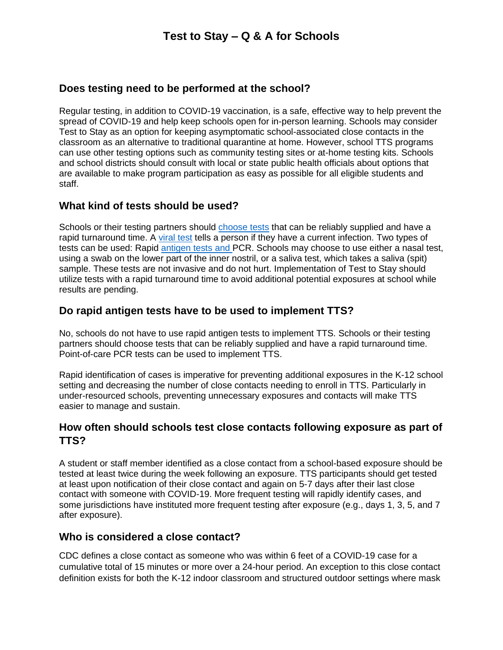## **Does testing need to be performed at the school?**

Regular testing, in addition to COVID-19 vaccination, is a safe, effective way to help prevent the spread of COVID-19 and help keep schools open for in-person learning. Schools may consider Test to Stay as an option for keeping asymptomatic school-associated close contacts in the classroom as an alternative to traditional quarantine at home. However, school TTS programs can use other testing options such as community testing sites or at-home testing kits. Schools and school districts should consult with local or state public health officials about options that are available to make program participation as easy as possible for all eligible students and staff.

## **What kind of tests should be used?**

Schools or their testing partners should [choose tests](https://www.cdc.gov/coronavirus/2019-ncov/hcp/testing-overview.html#TestingInfection) that can be reliably supplied and have a rapid turnaround time. A [viral test](https://www.cdc.gov/coronavirus/2019-ncov/testing/diagnostic-testing.html) tells a person if they have a current infection. Two types of tests can be used: Rapid [antigen tests](https://www.cdc.gov/coronavirus/2019-ncov/lab/resources/antigen-tests-guidelines.html) and PCR. Schools may choose to use either a nasal test, using a swab on the lower part of the inner nostril, or a saliva test, which takes a saliva (spit) sample. These tests are not invasive and do not hurt. Implementation of Test to Stay should utilize tests with a rapid turnaround time to avoid additional potential exposures at school while results are pending.

# **Do rapid antigen tests have to be used to implement TTS?**

No, schools do not have to use rapid antigen tests to implement TTS. Schools or their testing partners should choose tests that can be reliably supplied and have a rapid turnaround time. Point-of-care PCR tests can be used to implement TTS.

Rapid identification of cases is imperative for preventing additional exposures in the K-12 school setting and decreasing the number of close contacts needing to enroll in TTS. Particularly in under-resourced schools, preventing unnecessary exposures and contacts will make TTS easier to manage and sustain.

## **How often should schools test close contacts following exposure as part of TTS?**

A student or staff member identified as a close contact from a school-based exposure should be tested at least twice during the week following an exposure. TTS participants should get tested at least upon notification of their close contact and again on 5-7 days after their last close contact with someone with COVID-19. More frequent testing will rapidly identify cases, and some jurisdictions have instituted more frequent testing after exposure (e.g., days 1, 3, 5, and 7 after exposure).

### **Who is considered a close contact?**

CDC defines a close contact as someone who was within 6 feet of a COVID-19 case for a cumulative total of 15 minutes or more over a 24-hour period. An exception to this close contact definition exists for both the K-12 indoor classroom and structured outdoor settings where mask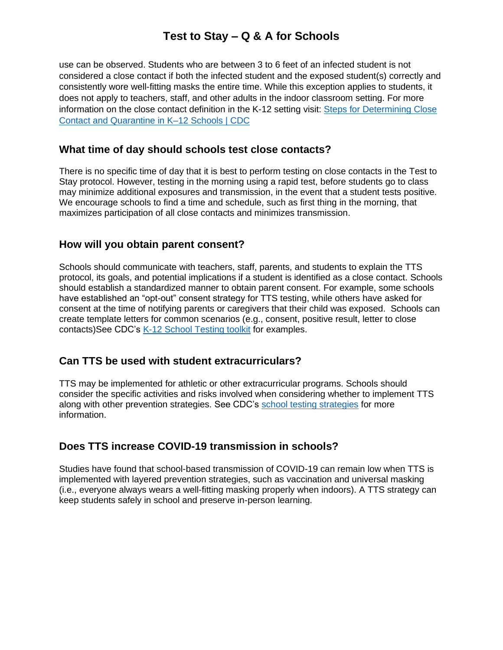use can be observed. Students who are between 3 to 6 feet of an infected student is not considered a close contact if both the infected student and the exposed student(s) correctly and consistently wore well-fitting masks the entire time. While this exception applies to students, it does not apply to teachers, staff, and other adults in the indoor classroom setting. For more information on the close contact definition in the K-12 setting visit: [Steps for Determining Close](https://www.cdc.gov/coronavirus/2019-ncov/daily-life-coping/K-12-infographic.html)  [Contact and Quarantine in K–12 Schools | CDC](https://www.cdc.gov/coronavirus/2019-ncov/daily-life-coping/K-12-infographic.html)

#### **What time of day should schools test close contacts?**

There is no specific time of day that it is best to perform testing on close contacts in the Test to Stay protocol. However, testing in the morning using a rapid test, before students go to class may minimize additional exposures and transmission, in the event that a student tests positive. We encourage schools to find a time and schedule, such as first thing in the morning, that maximizes participation of all close contacts and minimizes transmission.

#### **How will you obtain parent consent?**

Schools should communicate with teachers, staff, parents, and students to explain the TTS protocol, its goals, and potential implications if a student is identified as a close contact. Schools should establish a standardized manner to obtain parent consent. For example, some schools have established an "opt-out" consent strategy for TTS testing, while others have asked for consent at the time of notifying parents or caregivers that their child was exposed. Schools can create template letters for common scenarios (e.g., consent, positive result, letter to close contacts)See CDC's [K-12 School Testing toolkit](https://www.cdc.gov/coronavirus/2019-ncov/community/schools-childcare/school-testing.html?CDC_AA_refVal=https%3A%2F%2Fwww.cdc.gov%2Fcovid19-school-testing%2Findex.html) for examples.

### **Can TTS be used with student extracurriculars?**

TTS may be implemented for athletic or other extracurricular programs. Schools should consider the specific activities and risks involved when considering whether to implement TTS along with other prevention strategies. See CDC's [school testing strategies](https://www.cdc.gov/coronavirus/2019-ncov/community/schools-childcare/operation-strategy.html#anchor_1616080181070) for more information.

### **Does TTS increase COVID-19 transmission in schools?**

Studies have found that school-based transmission of COVID-19 can remain low when TTS is implemented with layered prevention strategies, such as vaccination and universal masking (i.e., everyone always wears a well-fitting masking properly when indoors). A TTS strategy can keep students safely in school and preserve in-person learning.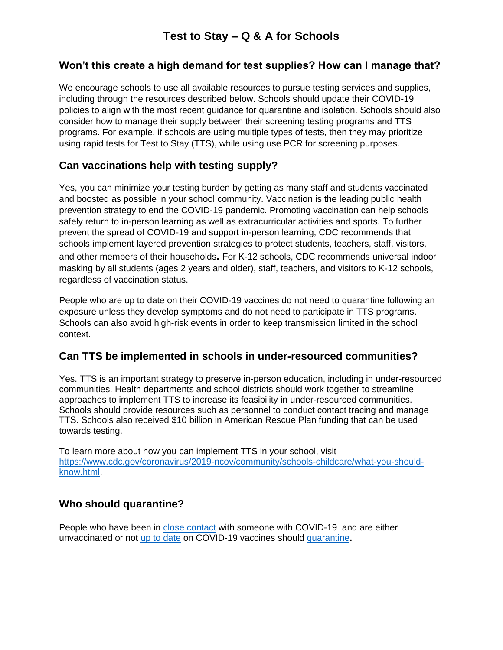## **Won't this create a high demand for test supplies? How can I manage that?**

We encourage schools to use all available resources to pursue testing services and supplies, including through the resources described below. Schools should update their COVID-19 policies to align with the most recent guidance for quarantine and isolation. Schools should also consider how to manage their supply between their screening testing programs and TTS programs. For example, if schools are using multiple types of tests, then they may prioritize using rapid tests for Test to Stay (TTS), while using use PCR for screening purposes.

# **Can vaccinations help with testing supply?**

Yes, you can minimize your testing burden by getting as many staff and students vaccinated and boosted as possible in your school community. Vaccination is the leading public health prevention strategy to end the COVID-19 pandemic. Promoting vaccination can help schools safely return to in-person learning as well as extracurricular activities and sports. To further prevent the spread of COVID-19 and support in-person learning, CDC recommends that schools implement layered prevention strategies to protect students, teachers, staff, visitors, and other members of their households**.** For K-12 schools, CDC recommends universal indoor masking by all students (ages 2 years and older), staff, teachers, and visitors to K-12 schools, regardless of vaccination status.

People who are up to date on their COVID-19 vaccines do not need to quarantine following an exposure unless they develop symptoms and do not need to participate in TTS programs. Schools can also avoid high-risk events in order to keep transmission limited in the school context.

# **Can TTS be implemented in schools in under-resourced communities?**

Yes. TTS is an important strategy to preserve in-person education, including in under-resourced communities. Health departments and school districts should work together to streamline approaches to implement TTS to increase its feasibility in under-resourced communities. Schools should provide resources such as personnel to conduct contact tracing and manage TTS. Schools also received \$10 billion in American Rescue Plan funding that can be used towards testing.

To learn more about how you can implement TTS in your school, visit [https://www.cdc.gov/coronavirus/2019-ncov/community/schools-childcare/what-you-should](https://www.cdc.gov/coronavirus/2019-ncov/community/schools-childcare/what-you-should-know.html)[know.html.](https://www.cdc.gov/coronavirus/2019-ncov/community/schools-childcare/what-you-should-know.html)

# **Who should quarantine?**

People who have been in [close contact](https://www.cdc.gov/coronavirus/2019-ncov/php/contact-tracing/contact-tracing-plan/appendix.html#contact) with someone with COVID-19 and are either unvaccinated or not [up to date](https://www.cdc.gov/coronavirus/2019-ncov/vaccines/stay-up-to-date.html) on COVID-19 vaccines should [quarantine](https://www.cdc.gov/coronavirus/2019-ncov/community/schools-childcare/k-12-contact-tracing/about-quarantine.html)**.**